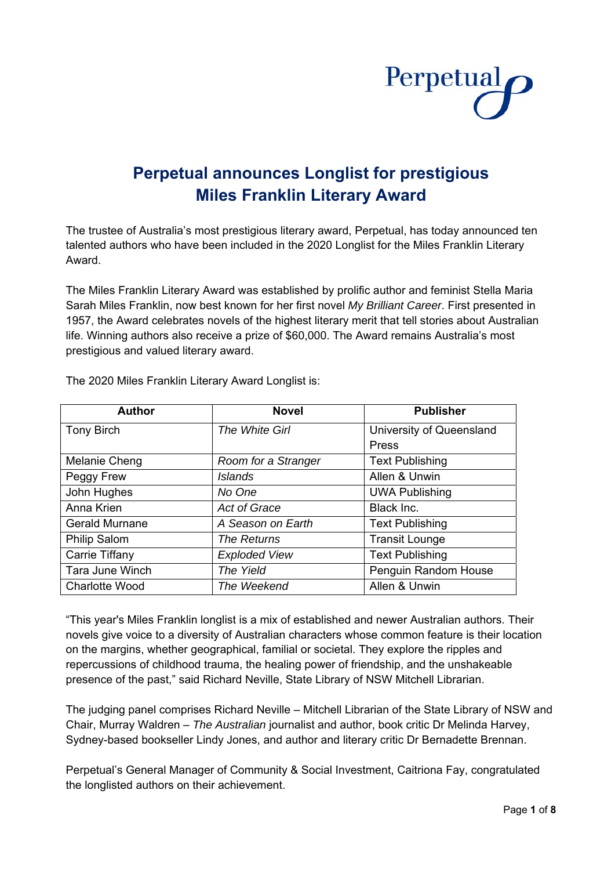

# **Perpetual announces Longlist for prestigious Miles Franklin Literary Award**

The trustee of Australia's most prestigious literary award, Perpetual, has today announced ten talented authors who have been included in the 2020 Longlist for the Miles Franklin Literary Award.

The Miles Franklin Literary Award was established by prolific author and feminist Stella Maria Sarah Miles Franklin, now best known for her first novel *My Brilliant Career*. First presented in 1957, the Award celebrates novels of the highest literary merit that tell stories about Australian life. Winning authors also receive a prize of \$60,000. The Award remains Australia's most prestigious and valued literary award.

| <b>Author</b>         | <b>Novel</b>         | <b>Publisher</b>         |
|-----------------------|----------------------|--------------------------|
| <b>Tony Birch</b>     | The White Girl       | University of Queensland |
|                       |                      | Press                    |
| Melanie Cheng         | Room for a Stranger  | <b>Text Publishing</b>   |
| Peggy Frew            | <i>Islands</i>       | Allen & Unwin            |
| John Hughes           | No One               | <b>UWA Publishing</b>    |
| Anna Krien            | <b>Act of Grace</b>  | Black Inc.               |
| <b>Gerald Murnane</b> | A Season on Earth    | <b>Text Publishing</b>   |
| <b>Philip Salom</b>   | The Returns          | <b>Transit Lounge</b>    |
| Carrie Tiffany        | <b>Exploded View</b> | <b>Text Publishing</b>   |
| Tara June Winch       | The Yield            | Penguin Random House     |
| <b>Charlotte Wood</b> | The Weekend          | Allen & Unwin            |

The 2020 Miles Franklin Literary Award Longlist is:

"This year's Miles Franklin longlist is a mix of established and newer Australian authors. Their novels give voice to a diversity of Australian characters whose common feature is their location on the margins, whether geographical, familial or societal. They explore the ripples and repercussions of childhood trauma, the healing power of friendship, and the unshakeable presence of the past," said Richard Neville, State Library of NSW Mitchell Librarian.

The judging panel comprises Richard Neville – Mitchell Librarian of the State Library of NSW and Chair, Murray Waldren – *The Australian* journalist and author, book critic Dr Melinda Harvey, Sydney-based bookseller Lindy Jones, and author and literary critic Dr Bernadette Brennan.

Perpetual's General Manager of Community & Social Investment, Caitriona Fay, congratulated the longlisted authors on their achievement.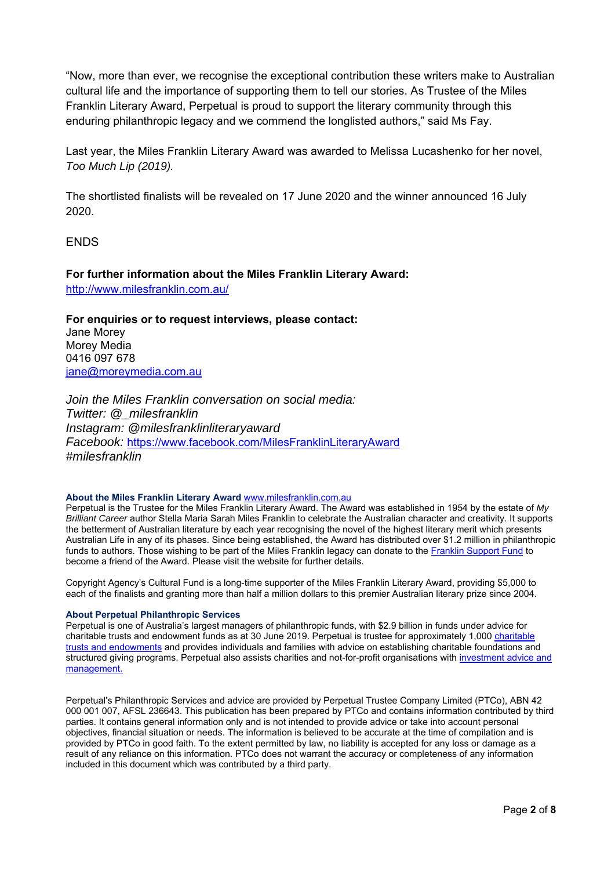"Now, more than ever, we recognise the exceptional contribution these writers make to Australian cultural life and the importance of supporting them to tell our stories. As Trustee of the Miles Franklin Literary Award, Perpetual is proud to support the literary community through this enduring philanthropic legacy and we commend the longlisted authors," said Ms Fay.

Last year, the Miles Franklin Literary Award was awarded to Melissa Lucashenko for her novel, *Too Much Lip (2019).* 

The shortlisted finalists will be revealed on 17 June 2020 and the winner announced 16 July 2020.

**FNDS** 

**For further information about the Miles Franklin Literary Award:**  http://www.milesfranklin.com.au/

**For enquiries or to request interviews, please contact:**  Jane Morey Morey Media 0416 097 678 jane@moreymedia.com.au

*Join the Miles Franklin conversation on social media: Twitter: @\_milesfranklin Instagram: @milesfranklinliteraryaward Facebook:* https://www.facebook.com/MilesFranklinLiteraryAward *#milesfranklin* 

#### **About the Miles Franklin Literary Award** www.milesfranklin.com.au

Perpetual is the Trustee for the Miles Franklin Literary Award. The Award was established in 1954 by the estate of *My Brilliant Career* author Stella Maria Sarah Miles Franklin to celebrate the Australian character and creativity. It supports the betterment of Australian literature by each year recognising the novel of the highest literary merit which presents Australian Life in any of its phases. Since being established, the Award has distributed over \$1.2 million in philanthropic funds to authors. Those wishing to be part of the Miles Franklin legacy can donate to the Franklin Support Fund to become a friend of the Award. Please visit the website for further details.

Copyright Agency's Cultural Fund is a long-time supporter of the Miles Franklin Literary Award, providing \$5,000 to each of the finalists and granting more than half a million dollars to this premier Australian literary prize since 2004.

#### **About Perpetual Philanthropic Services**

Perpetual is one of Australia's largest managers of philanthropic funds, with \$2.9 billion in funds under advice for charitable trusts and endowment funds as at 30 June 2019. Perpetual is trustee for approximately 1,000 charitable trusts and endowments and provides individuals and families with advice on establishing charitable foundations and structured giving programs. Perpetual also assists charities and not-for-profit organisations with investment advice and management.

Perpetual's Philanthropic Services and advice are provided by Perpetual Trustee Company Limited (PTCo), ABN 42 000 001 007, AFSL 236643. This publication has been prepared by PTCo and contains information contributed by third parties. It contains general information only and is not intended to provide advice or take into account personal objectives, financial situation or needs. The information is believed to be accurate at the time of compilation and is provided by PTCo in good faith. To the extent permitted by law, no liability is accepted for any loss or damage as a result of any reliance on this information. PTCo does not warrant the accuracy or completeness of any information included in this document which was contributed by a third party.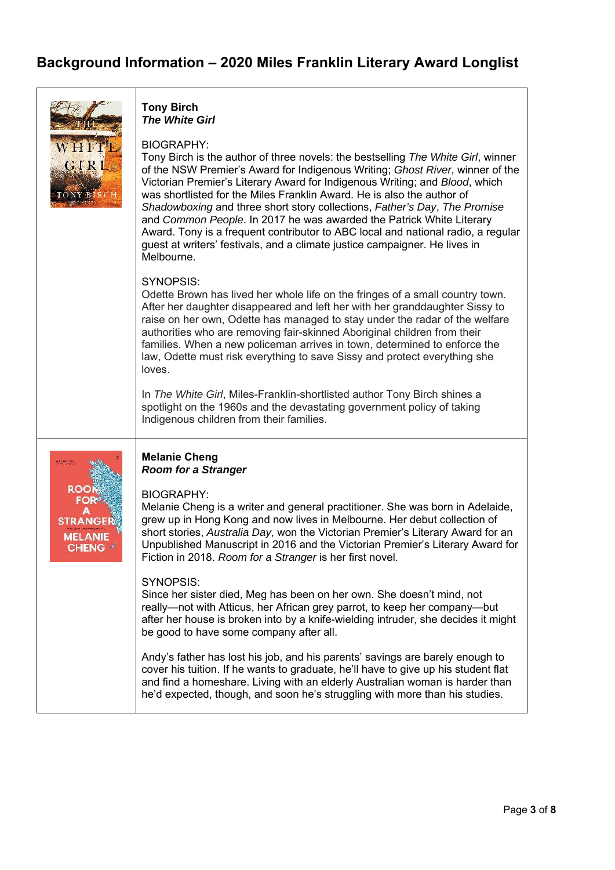# **Background Information – 2020 Miles Franklin Literary Award Longlist**

| WHITE<br>GIRI<br>TONY BIR                                               | <b>Tony Birch</b><br><b>The White Girl</b><br><b>BIOGRAPHY:</b><br>Tony Birch is the author of three novels: the bestselling The White Girl, winner<br>of the NSW Premier's Award for Indigenous Writing; Ghost River, winner of the<br>Victorian Premier's Literary Award for Indigenous Writing; and Blood, which<br>was shortlisted for the Miles Franklin Award. He is also the author of<br>Shadowboxing and three short story collections, Father's Day, The Promise<br>and Common People. In 2017 he was awarded the Patrick White Literary<br>Award. Tony is a frequent contributor to ABC local and national radio, a regular<br>guest at writers' festivals, and a climate justice campaigner. He lives in<br>Melbourne.<br>SYNOPSIS:<br>Odette Brown has lived her whole life on the fringes of a small country town.<br>After her daughter disappeared and left her with her granddaughter Sissy to<br>raise on her own, Odette has managed to stay under the radar of the welfare<br>authorities who are removing fair-skinned Aboriginal children from their<br>families. When a new policeman arrives in town, determined to enforce the<br>law, Odette must risk everything to save Sissy and protect everything she<br>loves.<br>In The White Girl, Miles-Franklin-shortlisted author Tony Birch shines a<br>spotlight on the 1960s and the devastating government policy of taking |
|-------------------------------------------------------------------------|------------------------------------------------------------------------------------------------------------------------------------------------------------------------------------------------------------------------------------------------------------------------------------------------------------------------------------------------------------------------------------------------------------------------------------------------------------------------------------------------------------------------------------------------------------------------------------------------------------------------------------------------------------------------------------------------------------------------------------------------------------------------------------------------------------------------------------------------------------------------------------------------------------------------------------------------------------------------------------------------------------------------------------------------------------------------------------------------------------------------------------------------------------------------------------------------------------------------------------------------------------------------------------------------------------------------------------------------------------------------------------------------------|
| <b>ROOI</b><br>FOR<br><b>STRANGER</b><br><b>MELANIE</b><br><b>CHENG</b> | Indigenous children from their families.<br><b>Melanie Cheng</b><br><b>Room for a Stranger</b><br><b>BIOGRAPHY:</b><br>Melanie Cheng is a writer and general practitioner. She was born in Adelaide,<br>grew up in Hong Kong and now lives in Melbourne. Her debut collection of<br>short stories, Australia Day, won the Victorian Premier's Literary Award for an<br>Unpublished Manuscript in 2016 and the Victorian Premier's Literary Award for<br>Fiction in 2018. Room for a Stranger is her first novel.<br>SYNOPSIS:<br>Since her sister died, Meg has been on her own. She doesn't mind, not<br>really—not with Atticus, her African grey parrot, to keep her company—but<br>after her house is broken into by a knife-wielding intruder, she decides it might<br>be good to have some company after all.<br>Andy's father has lost his job, and his parents' savings are barely enough to<br>cover his tuition. If he wants to graduate, he'll have to give up his student flat<br>and find a homeshare. Living with an elderly Australian woman is harder than<br>he'd expected, though, and soon he's struggling with more than his studies.                                                                                                                                                                                                                                            |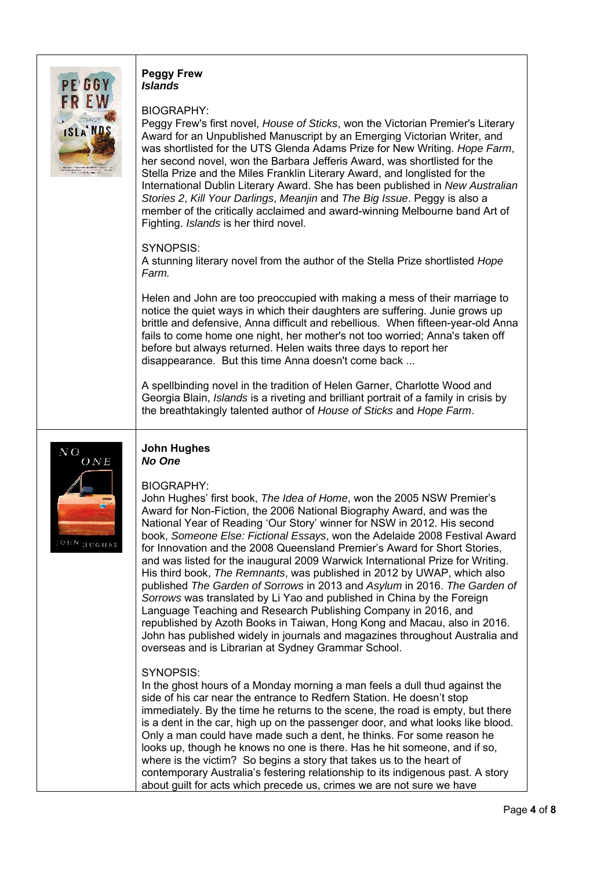

## **Peggy Frew**  *Islands*

# BIOGRAPHY:

Peggy Frew's first novel, *House of Sticks*, won the Victorian Premier's Literary Award for an Unpublished Manuscript by an Emerging Victorian Writer, and was shortlisted for the UTS Glenda Adams Prize for New Writing. *Hope Farm*, her second novel, won the Barbara Jefferis Award, was shortlisted for the Stella Prize and the Miles Franklin Literary Award, and longlisted for the International Dublin Literary Award. She has been published in *New Australian Stories 2*, *Kill Your Darlings*, *Meanjin* and *The Big Issue*. Peggy is also a member of the critically acclaimed and award-winning Melbourne band Art of Fighting. *Islands* is her third novel.

# SYNOPSIS:

A stunning literary novel from the author of the Stella Prize shortlisted *Hope Farm.* 

Helen and John are too preoccupied with making a mess of their marriage to notice the quiet ways in which their daughters are suffering. Junie grows up brittle and defensive, Anna difficult and rebellious. When fifteen-year-old Anna fails to come home one night, her mother's not too worried; Anna's taken off before but always returned. Helen waits three days to report her disappearance. But this time Anna doesn't come back ...

A spellbinding novel in the tradition of Helen Garner, Charlotte Wood and Georgia Blain, *Islands* is a riveting and brilliant portrait of a family in crisis by the breathtakingly talented author of *House of Sticks* and *Hope Farm*.



#### **John Hughes**  *No One*

# BIOGRAPHY:

John Hughes' first book, *The Idea of Home*, won the 2005 NSW Premier's Award for Non-Fiction, the 2006 National Biography Award, and was the National Year of Reading 'Our Story' winner for NSW in 2012. His second book, *Someone Else: Fictional Essays*, won the Adelaide 2008 Festival Award for Innovation and the 2008 Queensland Premier's Award for Short Stories, and was listed for the inaugural 2009 Warwick International Prize for Writing. His third book, *The Remnants*, was published in 2012 by UWAP, which also published *The Garden of Sorrows* in 2013 and *Asylum* in 2016. *The Garden of Sorrows* was translated by Li Yao and published in China by the Foreign Language Teaching and Research Publishing Company in 2016, and republished by Azoth Books in Taiwan, Hong Kong and Macau, also in 2016. John has published widely in journals and magazines throughout Australia and overseas and is Librarian at Sydney Grammar School.

# SYNOPSIS:

In the ghost hours of a Monday morning a man feels a dull thud against the side of his car near the entrance to Redfern Station. He doesn't stop immediately. By the time he returns to the scene, the road is empty, but there is a dent in the car, high up on the passenger door, and what looks like blood. Only a man could have made such a dent, he thinks. For some reason he looks up, though he knows no one is there. Has he hit someone, and if so, where is the victim? So begins a story that takes us to the heart of contemporary Australia's festering relationship to its indigenous past. A story about guilt for acts which precede us, crimes we are not sure we have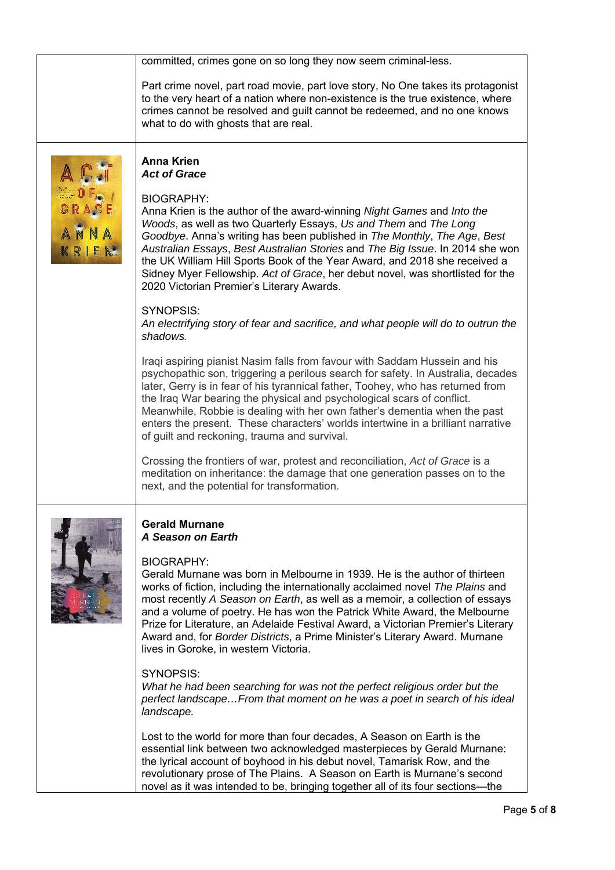|       | committed, crimes gone on so long they now seem criminal-less.                                                                                                                                                                                                                                                                                                                                                                                                                                                                                             |
|-------|------------------------------------------------------------------------------------------------------------------------------------------------------------------------------------------------------------------------------------------------------------------------------------------------------------------------------------------------------------------------------------------------------------------------------------------------------------------------------------------------------------------------------------------------------------|
|       | Part crime novel, part road movie, part love story, No One takes its protagonist<br>to the very heart of a nation where non-existence is the true existence, where<br>crimes cannot be resolved and guilt cannot be redeemed, and no one knows<br>what to do with ghosts that are real.                                                                                                                                                                                                                                                                    |
|       | <b>Anna Krien</b><br><b>Act of Grace</b>                                                                                                                                                                                                                                                                                                                                                                                                                                                                                                                   |
| GRACE | <b>BIOGRAPHY:</b><br>Anna Krien is the author of the award-winning Night Games and Into the<br>Woods, as well as two Quarterly Essays, Us and Them and The Long<br>Goodbye. Anna's writing has been published in The Monthly, The Age, Best<br>Australian Essays, Best Australian Stories and The Big Issue. In 2014 she won<br>the UK William Hill Sports Book of the Year Award, and 2018 she received a<br>Sidney Myer Fellowship. Act of Grace, her debut novel, was shortlisted for the<br>2020 Victorian Premier's Literary Awards.                  |
|       | SYNOPSIS:<br>An electrifying story of fear and sacrifice, and what people will do to outrun the<br>shadows.                                                                                                                                                                                                                                                                                                                                                                                                                                                |
|       | Iraqi aspiring pianist Nasim falls from favour with Saddam Hussein and his<br>psychopathic son, triggering a perilous search for safety. In Australia, decades<br>later, Gerry is in fear of his tyrannical father, Toohey, who has returned from<br>the Iraq War bearing the physical and psychological scars of conflict.<br>Meanwhile, Robbie is dealing with her own father's dementia when the past<br>enters the present. These characters' worlds intertwine in a brilliant narrative<br>of guilt and reckoning, trauma and survival.               |
|       | Crossing the frontiers of war, protest and reconciliation, Act of Grace is a<br>meditation on inheritance: the damage that one generation passes on to the<br>next, and the potential for transformation.                                                                                                                                                                                                                                                                                                                                                  |
|       | <b>Gerald Murnane</b><br>A Season on Earth                                                                                                                                                                                                                                                                                                                                                                                                                                                                                                                 |
|       | <b>BIOGRAPHY:</b><br>Gerald Murnane was born in Melbourne in 1939. He is the author of thirteen<br>works of fiction, including the internationally acclaimed novel The Plains and<br>most recently A Season on Earth, as well as a memoir, a collection of essays<br>and a volume of poetry. He has won the Patrick White Award, the Melbourne<br>Prize for Literature, an Adelaide Festival Award, a Victorian Premier's Literary<br>Award and, for Border Districts, a Prime Minister's Literary Award. Murnane<br>lives in Goroke, in western Victoria. |
|       | SYNOPSIS:<br>What he had been searching for was not the perfect religious order but the<br>perfect landscapeFrom that moment on he was a poet in search of his ideal<br>landscape.                                                                                                                                                                                                                                                                                                                                                                         |
|       | Lost to the world for more than four decades, A Season on Earth is the<br>essential link between two acknowledged masterpieces by Gerald Murnane:<br>the lyrical account of boyhood in his debut novel, Tamarisk Row, and the<br>revolutionary prose of The Plains. A Season on Earth is Murnane's second<br>novel as it was intended to be, bringing together all of its four sections—the                                                                                                                                                                |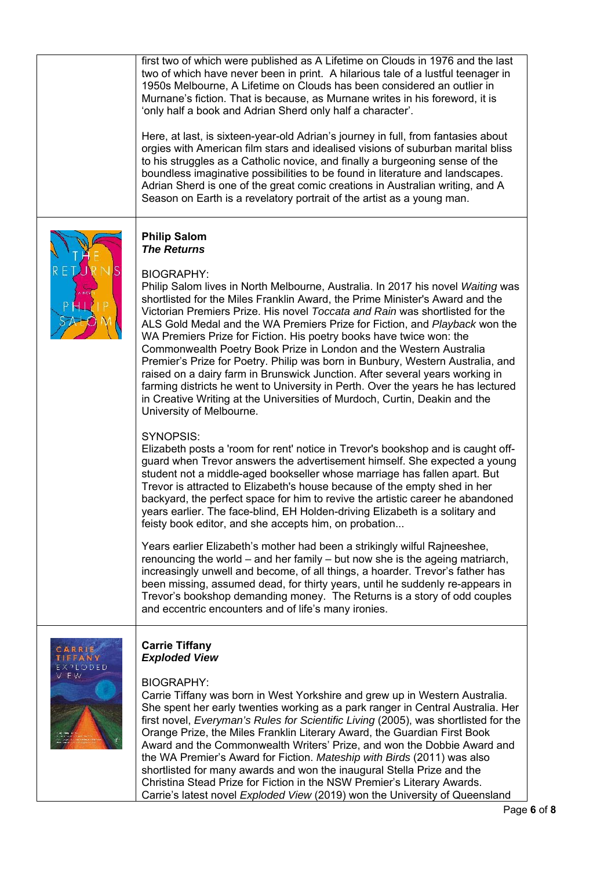|                                  | first two of which were published as A Lifetime on Clouds in 1976 and the last<br>two of which have never been in print. A hilarious tale of a lustful teenager in<br>1950s Melbourne, A Lifetime on Clouds has been considered an outlier in<br>Murnane's fiction. That is because, as Murnane writes in his foreword, it is<br>'only half a book and Adrian Sherd only half a character'.<br>Here, at last, is sixteen-year-old Adrian's journey in full, from fantasies about<br>orgies with American film stars and idealised visions of suburban marital bliss<br>to his struggles as a Catholic novice, and finally a burgeoning sense of the<br>boundless imaginative possibilities to be found in literature and landscapes.<br>Adrian Sherd is one of the great comic creations in Australian writing, and A<br>Season on Earth is a revelatory portrait of the artist as a young man.              |
|----------------------------------|--------------------------------------------------------------------------------------------------------------------------------------------------------------------------------------------------------------------------------------------------------------------------------------------------------------------------------------------------------------------------------------------------------------------------------------------------------------------------------------------------------------------------------------------------------------------------------------------------------------------------------------------------------------------------------------------------------------------------------------------------------------------------------------------------------------------------------------------------------------------------------------------------------------|
| R <sub>E</sub>                   | <b>Philip Salom</b><br><b>The Returns</b><br><b>BIOGRAPHY:</b><br>Philip Salom lives in North Melbourne, Australia. In 2017 his novel Waiting was<br>shortlisted for the Miles Franklin Award, the Prime Minister's Award and the<br>Victorian Premiers Prize. His novel Toccata and Rain was shortlisted for the<br>ALS Gold Medal and the WA Premiers Prize for Fiction, and Playback won the<br>WA Premiers Prize for Fiction. His poetry books have twice won: the<br>Commonwealth Poetry Book Prize in London and the Western Australia<br>Premier's Prize for Poetry. Philip was born in Bunbury, Western Australia, and<br>raised on a dairy farm in Brunswick Junction. After several years working in<br>farming districts he went to University in Perth. Over the years he has lectured<br>in Creative Writing at the Universities of Murdoch, Curtin, Deakin and the<br>University of Melbourne. |
|                                  | SYNOPSIS:<br>Elizabeth posts a 'room for rent' notice in Trevor's bookshop and is caught off-<br>guard when Trevor answers the advertisement himself. She expected a young<br>student not a middle-aged bookseller whose marriage has fallen apart. But<br>Trevor is attracted to Elizabeth's house because of the empty shed in her<br>backyard, the perfect space for him to revive the artistic career he abandoned<br>years earlier. The face-blind, EH Holden-driving Elizabeth is a solitary and<br>feisty book editor, and she accepts him, on probation                                                                                                                                                                                                                                                                                                                                              |
|                                  | Years earlier Elizabeth's mother had been a strikingly wilful Rajneeshee,<br>renouncing the world – and her family – but now she is the ageing matriarch,<br>increasingly unwell and become, of all things, a hoarder. Trevor's father has<br>been missing, assumed dead, for thirty years, until he suddenly re-appears in<br>Trevor's bookshop demanding money. The Returns is a story of odd couples<br>and eccentric encounters and of life's many ironies.                                                                                                                                                                                                                                                                                                                                                                                                                                              |
| ARRI<br><b>XPLODED</b><br>$V$ EW | <b>Carrie Tiffany</b><br><b>Exploded View</b><br><b>BIOGRAPHY:</b><br>Carrie Tiffany was born in West Yorkshire and grew up in Western Australia.<br>She spent her early twenties working as a park ranger in Central Australia. Her<br>first novel, Everyman's Rules for Scientific Living (2005), was shortlisted for the<br>Orange Prize, the Miles Franklin Literary Award, the Guardian First Book<br>Award and the Commonwealth Writers' Prize, and won the Dobbie Award and<br>the WA Premier's Award for Fiction. Mateship with Birds (2011) was also<br>shortlisted for many awards and won the inaugural Stella Prize and the<br>Christina Stead Prize for Fiction in the NSW Premier's Literary Awards.<br>Carrie's latest novel Exploded View (2019) won the University of Queensland                                                                                                            |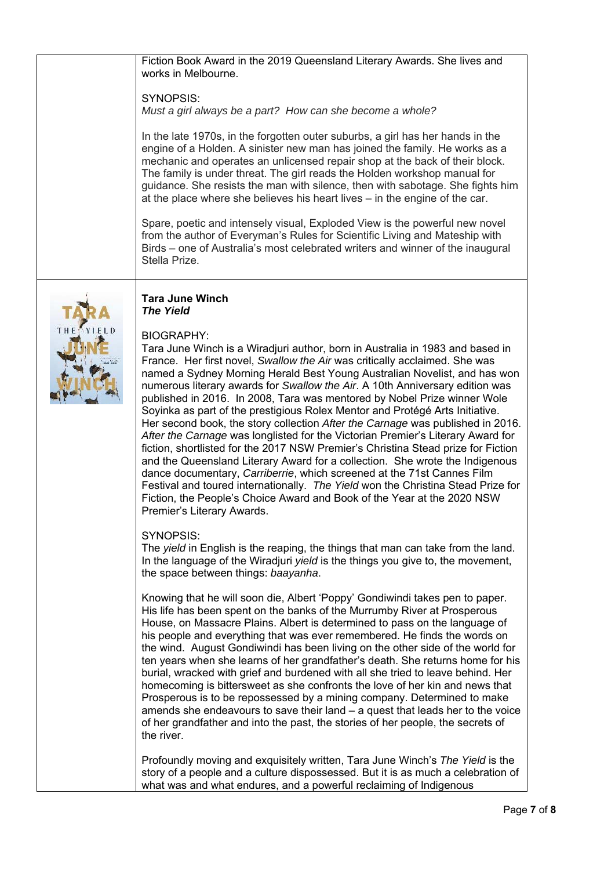| Fiction Book Award in the 2019 Queensland Literary Awards. She lives and<br>works in Melbourne.                                                                                                                                                                                                                                                                                                                                                                                            |
|--------------------------------------------------------------------------------------------------------------------------------------------------------------------------------------------------------------------------------------------------------------------------------------------------------------------------------------------------------------------------------------------------------------------------------------------------------------------------------------------|
| SYNOPSIS:<br>Must a girl always be a part? How can she become a whole?                                                                                                                                                                                                                                                                                                                                                                                                                     |
| In the late 1970s, in the forgotten outer suburbs, a girl has her hands in the<br>engine of a Holden. A sinister new man has joined the family. He works as a<br>mechanic and operates an unlicensed repair shop at the back of their block.<br>The family is under threat. The girl reads the Holden workshop manual for<br>guidance. She resists the man with silence, then with sabotage. She fights him<br>at the place where she believes his heart lives – in the engine of the car. |
| Spare, poetic and intensely visual, Exploded View is the powerful new novel<br>from the author of Everyman's Rules for Scientific Living and Mateship with<br>Birds – one of Australia's most celebrated writers and winner of the inaugural<br>Stella Prize.                                                                                                                                                                                                                              |
|                                                                                                                                                                                                                                                                                                                                                                                                                                                                                            |



#### **Tara June Winch**  *The Yield*

## BIOGRAPHY:

Tara June Winch is a Wiradjuri author, born in Australia in 1983 and based in France. Her first novel, *Swallow the Air* was critically acclaimed. She was named a Sydney Morning Herald Best Young Australian Novelist, and has won numerous literary awards for *Swallow the Air*. A 10th Anniversary edition was published in 2016. In 2008, Tara was mentored by Nobel Prize winner Wole Soyinka as part of the prestigious Rolex Mentor and Protégé Arts Initiative. Her second book, the story collection *After the Carnage* was published in 2016. *After the Carnage* was longlisted for the Victorian Premier's Literary Award for fiction, shortlisted for the 2017 NSW Premier's Christina Stead prize for Fiction and the Queensland Literary Award for a collection. She wrote the Indigenous dance documentary, *Carriberrie*, which screened at the 71st Cannes Film Festival and toured internationally. *The Yield* won the Christina Stead Prize for Fiction, the People's Choice Award and Book of the Year at the 2020 NSW Premier's Literary Awards.

## SYNOPSIS:

The *yield* in English is the reaping, the things that man can take from the land. In the language of the Wiradjuri *yield* is the things you give to, the movement, the space between things: *baayanha*.

Knowing that he will soon die, Albert 'Poppy' Gondiwindi takes pen to paper. His life has been spent on the banks of the Murrumby River at Prosperous House, on Massacre Plains. Albert is determined to pass on the language of his people and everything that was ever remembered. He finds the words on the wind. August Gondiwindi has been living on the other side of the world for ten years when she learns of her grandfather's death. She returns home for his burial, wracked with grief and burdened with all she tried to leave behind. Her homecoming is bittersweet as she confronts the love of her kin and news that Prosperous is to be repossessed by a mining company. Determined to make amends she endeavours to save their land – a quest that leads her to the voice of her grandfather and into the past, the stories of her people, the secrets of the river.

Profoundly moving and exquisitely written, Tara June Winch's *The Yield* is the story of a people and a culture dispossessed. But it is as much a celebration of what was and what endures, and a powerful reclaiming of Indigenous